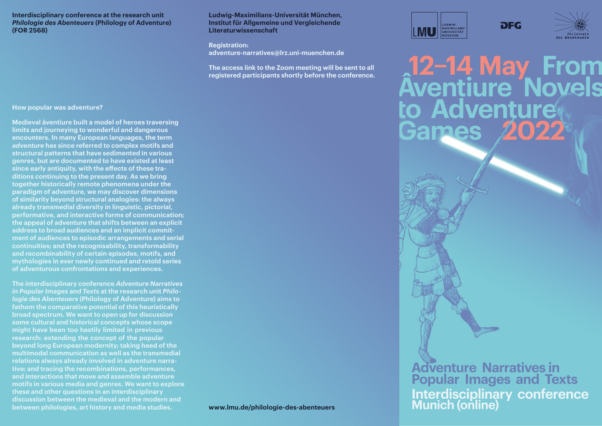**Interdisciplinary conference at the research unit**  *Philologie des Abenteuers* **(Philology of Adventure) (FOR 2568)**

### **Ludwig-Maximilians-Universität München, Institut für Allgemeine und Vergleichende Literaturwissenschaft**

**Registration: adventure-narratives@lrz.uni-muenchen.de**

**The access link to the Zoom meeting will be sent to all registered participants shortly before the conference.**



**DFG** 



**Aventiure Novels Adventure Games 2022**

### **How popular was adventure?**

**Medieval âventiure built a model of heroes traversing limits and journeying to wonderful and dangerous encounters. In many European languages, the term**  *adventure* **has since referred to complex motifs and structural patterns that have sedimented in various genres, but are documented to have existed at least since early antiquity, with the effects of these traditions continuing to the present day. As we bring together historically remote phenomena under the paradigm of adventure, we may discover dimensions of similarity beyond structural analogies: the always already transmedial diversity in linguistic, pictorial, performative, and interactive forms of communication; the appeal of adventure that shifts between an explicit address to broad audiences and an implicit commitment of audiences to episodic arrangements and serial continuities; and the recognisability, transformability and recombinability of certain episodes, motifs, and mythologies in ever newly continued and retold series of adventurous confrontations and experiences.**

**The interdisciplinary conference** *Adventure Narratives in Popular Images and Texts* **at the research unit** *Philologie des Abenteuers* **(Philology of Adventure) aims to fathom the comparative potential of this heuristically broad spectrum. We want to open up for discussion some cultural and historical concepts whose scope might have been too hastily limited in previous research: extending the concept of the popular beyond long European modernity; taking heed of the multimodal communication as well as the transmedial relations always already involved in adventure narrative; and tracing the recombinations, performances, and interactions that move and assemble adventure motifs in various media and genres. We want to explore these and other questions in an interdisciplinary discussion between the medieval and the modern and between philologies, art history and media studies.** 

**Adventure Narratives in Popular Images and Texts Interdisciplinary conference www.lmu.de/philologie-des-abenteuers Munich (online)**